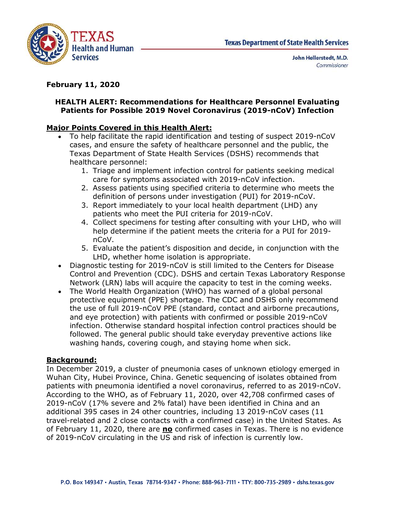

# February 11, 2020

# Health and Human<br>
Health and Human<br>
Services<br>
John Hellerstedt, M.D.<br>
Donnellerstedt, M.D.<br>
Donnellerstedt, M.D.<br>
Donnellerstedt, M.D.<br>
Commissioner<br>
Patients for Possible 2019 Novel Coronavirus (2019-nCoV) Infection<br>
aior Patients for Possible 2019 Novel Coronavirus (2019-nCoV) Infection

- TEXAS<br>
TEXAS<br>
Health and Human<br>
Services<br>
February 11, 2020<br>
HEALTH ALERT: Recommendations for Healthcare Personnel Eva<br>
Patients for Possible 2019 Novel Coronavirus (2019-nCoV) Info<br>
Major Points Covered in this Health Al To help facilitate the rapid identification and testing of suspect 2019-nCoV **TEXAS**<br> **EXAS**<br> **EXAS**<br> **EXAS**<br> **EXASP**<br> **EXASP**<br> **EXASP**<br> **EXASPENDENT:**<br> **REASPENDENT:**<br> **REASPENDENT:**<br> **REASPENDENT:**<br> **REASPENDENT:**<br> **REASPENDENT:**<br> **READ PROBENDENT:**<br> **POINTS COVER ONE ONE CONSUPPERENT:**<br> **POINTS** TEXAS<br>
Health and Human<br>
Services<br>
Services<br>
Services<br>
Services<br>
John Hellerstedt, M.D.<br>
Commissioner<br>
LTH ALERT: Recommendations for Healthcare Personnel Evaluating<br>
LTH ALERT: Recommendations for Healthcare Personnel Eva TEXAS<br> **TEXAS**<br> **Texas Department of State Health**<br> **Exas Department of State Health**<br> **Exary 11, 2020**<br> **ALTH ALERT: Recommendations for Healthcare Personnel Evaluatients for Possible 2019 Novel Coronavirus (2019-nCoV) In EXAS**<br> **11, 2020**<br> **11, 2020**<br> **11, 2020**<br> **11, 2020**<br> **11, 2020**<br> **11, 2020**<br> **11, 2020**<br> **11, 2020**<br> **11, 2020**<br> **11, 2020**<br> **11, 2020**<br> **11, 2020**<br> **11, 2020**<br> **11, 2020**<br> **11, 2020**<br> **11, 2020**<br> **11, 2020**<br> **11, 2020** COMBIN TEXAS PERITMENT TEXAS DEPARTMENT TEXAS DEPARTMENT AND COMMISSIONER SS<br>
COMMISSION CONDITIONS FOR THE SUPPOSE CONDITION CONDITION CONDITION CONDITION CONDUCT THE SCALENCE TO A SCALENCE THE SUPPOSE OF SUPPOSE THE SUPP **EXAS**<br> **EXAS**<br> **EXAS**<br> **EXAS**<br> **EXAS**<br> **EXAS**<br> **EXAS**<br> **EXAS**<br> **EXAS**<br> **EXAS**<br> **EXAS**<br> **EXAS**<br> **EXAS**<br> **EXAS**<br> **EXAS**<br> **EXAS**<br> **EXAS**<br> **EXAS**<br> **EXAS**<br> **EXAS**<br> **EXAS**<br> **EXAS**<br> **EXAS**<br> **EXAS**<br> **EXAS**<br> **EXAS**<br> **EXAS**<br> **EXAS THE SET THE SET THE SET THE SET THE SET THE SET AND AN ANGLEM SET AND THE SET AND THE SET AND THE SET AND THE SET AND THE SET AND THE SET AND THE SET AND THE SET AND THE DETERT: RECOMMENTED THE SET AND THE SET AND THE SET EXALM Texas Department of State Health Services**<br> **3. And Human**<br> **3. Report immediately to the Commissioner**<br> **3. Report immediate to Properties (NAD)**<br> **3. Commissioner**<br> **3. Reported in this Health Alert:**<br> **3. Reporte** John Hellerstedt, M.D.<br>
Yices<br>
11, 2020<br>
H ALERT: Recommendations for Healthcare Personnel Evaluating<br>
for Possible 2019 Novel Coronavirus (2019-nCoV) Infection<br>
hts Covered in this Health Alert:<br>
Hep facilitate the rapid **11, 2020**<br> **HALERT: Recommendations for Healthcare Personnel Evaluating**<br> **onts for Possible 2019 Novel Coronavirus (2019-nCoV) Infection**<br> **ints Covered in this Health Alert:**<br>
Help facilitate the rapid identification a r, 2020<br>
LERT: Recommendations for Healthcare Personnel Evaluating<br>
for Possible 2019 Novel Coronavirus (2019-nCoV) Infection<br>
for Possible 2019 Novel Coronavirus (2019-nCoV) Infection<br>
accovered in this Health Alert:<br>
201 LTH ALERT: Recommendations for Healthcare Personnel Evaluating<br>
tients for Possible 2019 Novel Coronavirus (2019-nCoV) Infection<br>
To help facilitate the rapid identification and etsting of suspect 2019-nCoV<br>
To help facili
	-
	-
	- patients who meet the PUI criteria for 2019-nCoV.
	- help determine if the patient meets the criteria for a PUI for 2019 nCoV.
	-
	- Control and Prevention (CDC). DSHS and certain Texas Laboratory Response
- **Points of Possible 2019 Nover Coronavirus (2019-ncov) Intection<br>
To help facilitate the rapid identification and testing of suspect 2019-nCoV<br>
Capaciticate the rapid identification and testing of suspect 2019-nCoV<br>
cases, Points Covered in this Health Alert:**<br>To help facilitate the rapid identification and testing of suspect 2019-nCoV<br>roases, and ensure the safety of healthcare personnel and the public, the<br>Texas Department of State Health **Promiss Cover the safety of help fractistics** the rand Method To help fractist the rapid identification and testing of suspect 2019-nCoV<br>Texas Department of State Health Services (DSHS) recommends that<br>healthcare personne To mericulate the rapin tunnitation and essimpt of State Exas Department of State Health Services (DSHS) recommends that Texas Department of State Health Services (DSHS) recommends that  $\frac{1}{2}$ . Triage and implement infe and eye protection) with patients with confirmed or possible 2019-nCoV infection. Otherwise standard hospital infection control practices should be inculare public should be the solicity of the stock of the correspondent in Fridge and implement infection corre of exergence of symstems associated with 2019-nCoV infection.<br>
2. Assess patients using specified criteria to 1. The control methem interaction control or patents seesing ineducts<br>
2. Assess patents using specified criteria to determine who meets the<br>
definition of persons under investigation (PUI) for 2019-nCoV.<br>
3. Report immedi So report time tends on the PUI criteria for 2019-nCoV.<br>
4. Collect specientes for testing after consulting with your LHD, who will<br>
delet specient of the patient metes the criteria for a PUI for 2019-<br>
nCoV.<br>
5. Evaluate

# Background:

In December 2019, a cluster of pneumonia cases of unknown etiology emerged in patients with pneumonia identified a novel coronavirus, referred to as 2019-nCoV. 4. Concurse permine in the samily are consuming warr you cannot the help determine if the patient meets the criteria for a PUI for 2019-<br>
5. Evaluate the patient's disposition and decide, in conjunction with the<br>
LHD, whe 2019-nCoV (17% severe and 2% fatal) have been identified in China and an <sup>1</sup> substrained the patient's disposition and decide, in conjunction with the<br>
LBD, whether home isolation is appropriate.<br>
Diagnostic testing for 2019-nCoV is still limited to the Centers for Disease<br>
Control and Prevent travel-related and 2 close contacts with a confirmed case) in the United States. As • Diagnostic testing for 2019-nGoV is still limited to the Centers for Disease<br>Control and Prevention (CDC). DSHS and certain Texas Laboratory Response<br>Network (LRN) labs will acquire the capacity to test in the coming we of 2019-nCoV circulating in the US and risk of infection is currently low.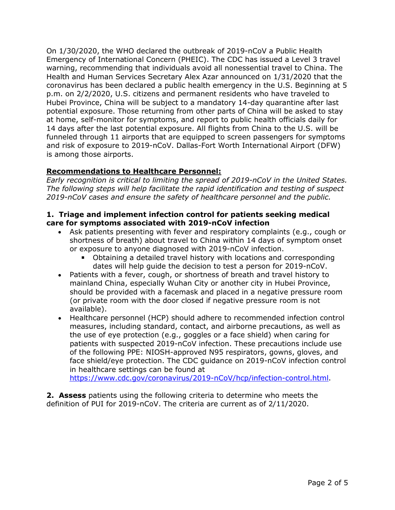On 1/30/2020, the WHO declared the outbreak of 2019-nCoV a Public Health Emergency of International Concern (PHEIC). The CDC has issued a Level 3 travel warning, recommending that individuals avoid all nonessential travel to China. The On 1/30/2020, the WHO declared the outbreak of 2019-nCoV a Public Health<br>Emergency of International Concern (PHEIC). The CDC has issued a Level 3 travel<br>warning, recommending that individuals avoid all nonessential travel coronavirus has been declared a public health emergency in the U.S. Beginning at 5 On 1/30/2020, the WHO declared the outbreak of 2019-nCoV a Public Health<br>Emergency of International Concern (PHEIC). The CDC has issued a Level 3 travel<br>warning, recommending that individuals avoid all nonessential travel On 1/30/2020, the WHO declared the outbreak of 2019-nCoV a Public Health<br>Emergency of International Concern (PHEIC). The CDC has issued a Level 3 travel<br>ewarning, recommending that individuals avoid all nonessential travel potential exposure. Those returning from other parts of China will be asked to stay On 1/30/2020, the WHO declared the outbreak of 2019-nCoV a Public Health Emergency of International Concern (PHEIC). The CDC has issued a Level 3 travel warning, recommenting that individuals avoid all nonessential travel On 1/30/2020, the WHO declared the outbreak of 2019-nCoV a Public Health<br>Emergency of International Concern (PHEIC). The CDC has issued a Level 3 travel<br>warning, recommending that individuals avoid all nonessential travel funneled through 11 airports that are equipped to screen passengers for symptoms On 1/30/2020, the WHO declared the outbreak of 2019-nCoV a Public Health<br>Emergency of International Concern (PHEIC). The CDC has issued a Level 3 travel<br>warning, recommending that individuals avoid all nonessential travel is among those airports. On 1/30/2020, the WHO declared the outtbreak of 2019-nCoV a Public Health<br>
Emergency of International Concern (PHEIC). The CDC has issued a Level 3 travel<br>
ewarning, recommending that individuals avoid all nonessential tr On 1/30/2020, the wind used une woutereal of a curst in experiment of the margency of International Concern (PHEIC). The CDC has issued a Level 3 travel<br>
Werming, recommending that individuals avoid all nonessential travel Enter of the methanomic collecting (Frict). The CUC has issued a Lever 3 tave is the and Human Services Secretary Alex Azar amounced on 1/31/2020 that the origins are original the origins are original to China. The origins y, recommenting that may thous about an interessented for the Using the state of a public helath emergency in the U.S. Beginning at 5 n 2/2/2020, that the interest of a public helath emergency in the U.S. Beginning at 5 n Cousting and perminent infection control for particular bises and perminent resolution. The ce, China will be subject to a mandatory 14-day quarantine after last soure. Those returning from other parts of China will be ask Frowmer, cunne with the stupled to a minimatory 1<sup>-1-tra</sup> quantitative anter iast.<br>Hal exposure. Those returning from other parts of China will be asked to stay<br>of experiments, and report to public health officials daily

# Recommendations to Healthcare Personnel:

Early recognition is critical to limiting the spread of 2019-nCoV in the United States. The following steps will help facilitate the rapid identification and testing of suspect 2019-nCoV cases and ensure the safety of healthcare personnel and the public.

- or exposure to anyone diagnosed with 2019-nCoV infection.
	- Obtaining a detailed travel history with locations and corresponding
- mainland China, especially Wuhan City or another city in Hubei Province, should be provided with a facemask and placed in a negative pressure room s are the least potential explosive. All mights from Chinal out of the dost will be determined to the domal control of exposure to 2019-nCoV. Dallas-Fort Worth International Airport (DFW) any those airports. As the equippe available). For exposure to actribute the speed of 2019-nCoV international ranport (Dr w)<br>and those airports.<br> **annendations to Healthcare Personnel:**<br>
Healthcare personnel adentification and testing of suspect<br>
flowing steps will he
- ion control<br>as well as<br>ng for<br>clude use<br>ves, and<br>ion control<br><u>I.html</u>.<br>the<br>Page 2 of 5 measures, including standard, contact, and airborne precautions, as well as **nmendations to Healthcare Personnel:**<br>ecognition is critical to limiting the spread of 2019-nCoV in the United States.<br>Clowing steps will help facilitate the rapid identification and testing of suspect<br>CCV cases and ensur patients with suspected 2019-nCoV infection. These precautions include use ecogymion's cultural to imming the spired of zour-shoot in the onice states.<br>Howing steps will help facilitate the rapid identification and testing of suspect<br>CoV cases and ensure the safety of healthcare personnel and the face shield/eye protection. The CDC guidance on 2019-nCoV infection control in healthcare settings can be found at Let the symptoms associated with Corollation and Capital Capital Capital Capital and the political of the coronavirus of the coronavirus of the control of the control of the control of the control of the and the symptom of Associate presenting with the real respiratory complenates (e.g., cougin of<br>shortness of preach) about travel to China within 14 days of symptom onset<br>or exposure to anyone diagnosed with 2019-nCoV infection.<br>Obtaining a d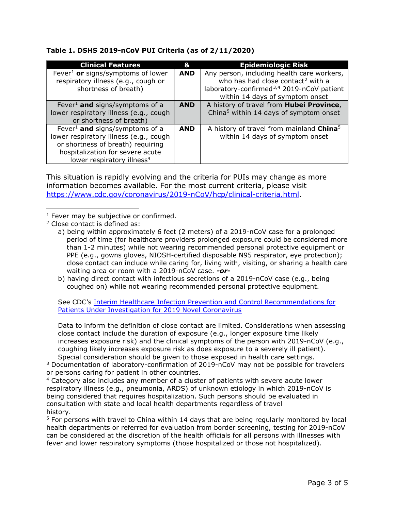## Table 1. DSHS 2019-nCoV PUI Criteria (as of 2/11/2020)

n assessing<br>rely<br>mCoV (e.g.,<br>ient).<br>Js.<br>or travelers<br>ower<br>nCoV is<br>d in<br>red by local<br>2019-nCoV<br>esses with<br>red).<br>Page 3 of 5 Data to inform the definition of close contact are limited. Considerations when assessing coughing likely increases exposure risk as does exposure to a severely ill patient). Special consideration should be given to those exposed in health care settings.

<sup>3</sup> Documentation of laboratory-confirmation of 2019-nCoV may not be possible for travelers or persons caring for patient in other countries.

<sup>4</sup> Category also includes any member of a cluster of patients with severe acute lower consultation with state and local health departments regardless of travel history. Fre (e.g., yours, goves, incorner-tenined inspossione was respirator, eye protection),<br>the department department of the action of the barrier of the barrier of the barrier of the barrier of the partom with a 2019-nCoV case cose connet carm interded with infections secretions of a 2019-nCoV case. -or-<br>b) having dreat contact with infections secretions of a 2019-nCoV case of e.g., being<br>b coughed on) while not wearing recommended personal prot Wating area or nouth war a 2019-ncov case. - or<br>- by having direct contact with infectious secretions of a 2019-nCoV case (e.g., being<br>coughed on) while not wearing recommended personal protective equipment.<br>See CDC's <u>In</u>

<sup>5</sup> For persons with travel to China within 14 days that are being regularly monitored by local

<sup>1</sup> Fever may be subjective or confirmed.

<sup>2</sup> Close contact is defined as:

a) being within approximately 6 feet (2 meters) of a 2019-nCoV case for a prolonged waiting area or room with a 2019-nCoV case. - or-**Example 10** exposite of exposite contact include the duration is rapidly evolving and the criteria for PUIs may change as more systic morntation becomes available. For the most current criteria, please visit  $\frac{3.21}{1.0$ is situation is rapidly evolving and the criteria for PUIs may change as more<br>promation becomes available. For the most current criteria, please visit<br>station becomes available. For the most current criteria, hease visit<br>s rever limit approximately is computed to the electric material of the electric product as the product of the provides provides provides provides provides provides provides provides provides provides provides provides provi Coose Contact is delifice as:<br>
Lead being within approximately 6 feet (2 meters) of a 2019-nCoV case for a prolonged<br>
profo friem (for healthcare providers prolonged exposure could be considered more<br>
than 1-2 minutes) whi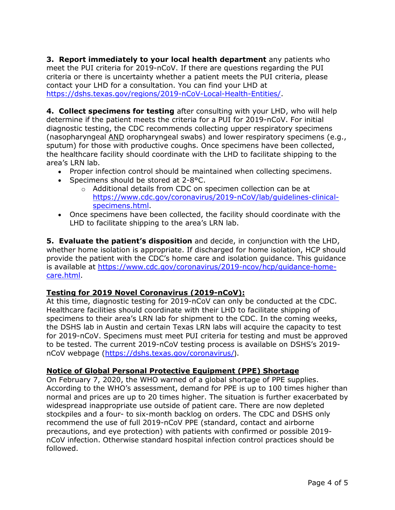**3. Report immediately to your local health department** any patients who<br>meet the PUI criteria for 2019-nCoV. If there are questions regarding the PUI<br>criteria or there is uncertainty whether a patient meets the PUI criter meet the PUI criteria for 2019-nCoV. If there are questions regarding the PUI **3. Report immediately to your local health department** any patients who<br>meet the PUI criteria for 2019-nCoV. If there are questions regarding the PUI<br>criteria or there is uncertainty whether a patient meets the PUI criter **3. Report immediately to your local health department** any patients who<br>meet the PUI criteria for 2019-nCoV. If there are questions regarding the PUI<br>criteria or there is uncertainty whether a patient meets the PUI criter

**3. Report immediately to your local health department** any patients who<br>meet the PUI criteria for 2019-nCoV. If there are questions regarding the PUI<br>criteria or there is uncertainty whether a patient meets the PUI criter **3. Report immediately to your local health department** any patients who<br>meet the PUI criteria for 2019-nCoV. If there are questions regarding the PUI<br>criteria or there is uncertainty whether a patient meets the PUI crite diagnostic testing, the CDC recommends collecting upper respiratory specimens **3. Report immediately to your local health department** any patients who<br>meet the PUI criteria for 2019-nCoV. If there are questions regarding the PUI<br>criteria or there is uncertainty whether a patient meets the PUI crite **3. Report immediately to your local health department** any patients who meet the PUI criteria for 2019-nCoV. If there are questions regarding the PUI criteria, of the contact your LHD for a consultation. You can find you **3. Report immediately to your local health department** any patients who<br>meet the PUI criteria for 2019-nCoV. If there are questions regarding the PUI<br>criteria or there is uncertainty whether a patient meets the PUI crite area's LRN lab. port immediately to your local health department any patients who<br>he PUI criteria for 2019-nCoV. If there are questions regarding the PUI<br>or there is uncertainty whether a patient meets the PUI criteria, please<br>y tour LHD **port immediately to your local health department** any patients<br>he PUI criteria for 2019-nCoV. If there are questions regarding the I<br>or there is uncertainty whether a patient meets the PUI criteria, ple<br>1 vour LHD for a c mete the Tot enter of the consultation. You, an outer and questions regarding the rot<br>
contact you can find you the patient meets the PUI criteria, please<br>
https://dshs.texas.gov/regions/2019-nCoV-local-Health-Entities/.<br> check the patient of the patient of the entired to the consultation. You can find your LHD at<br> **A. Collect specimens for testing** after consulting with your LHD, who will help<br>
determine if the patient metast be criteria f

- 
- Specimens should be stored at 2-8°C.
	- o Additional details from CDC on specimen collection can be at https://www.cdc.gov/coronavirus/2019-nCoV/lab/guidelines-clinicalspecimens.html.
- Once specimens have been collected, the facility should coordinate with the

provide the patient with the CDC's home care and isolation guidance. This guidance is available at https://www.cdc.gov/coronavirus/2019-ncov/hcp/guidance-homecare.html.

# Testing for 2019 Novel Coronavirus (2019-nCoV):

At this time, diagnostic testing for 2019-nCoV can only be conducted at the CDC. (noting three facility should coordinate with productive coupls. Once specimens have been collected,<br>
the healthcare facility should coordinate with the LHD to facilitate shipping to the<br>
area's LRN lab.<br>
• Proper infectio specimens to their enterpretations of the specimens in the theorem is the healthcare facility should coordinate with the LHD to facilitate shipping to the area's LRN lab.<br>
• Proper infection control should be maintained w Free interimentation controls should be maintained when collecting specimens.<br>
The Proper infection control should be stored at 2-8°C.<br>
• Proper infection controls should be stored at 2-8°C.<br>
• Additional details from CDC For 2019 Hotel at a certain and certain Frexe Law and a stever of a cherence should be stored at 2-8°C.<br>
Proper infection details from CDC on specimen collection can be at<br>
https://www.cdc.gov/coronavirus/2019-nCoV/lab/qui The conditional details from CDC on specimens should be stored at 2-8°C.<br>
Specimens should be stored. The current controllerion can be at<br>
the current controllering from CDC on specimen collection can be at<br>
the process in **note the material conducts** and decide, the factility should coordinate with the LHD to facilitate shipping to the erae's LRN lab.<br> **5. Evaluate the patient's disposition** and decide, in conjunction with the LHD, whether

g on<br>g weeks,<br>ity to test<br>e approved<br>5's 2019-<br>es.<br>higher than<br>cerbated by<br>leted<br>2019-<br>ould be<br>Page 4 of 5 On February 7, 2020, the WHO warned of a global shortage of PPE supplies. According to the WHO's assessment, demand for PPE is up to 100 times higher than normal and prices are up to 20 times higher. The situation is further exacerbated by widespread inappropriate use outside of patient care. There are now depleted Sometic and protective supposes and a four- to six-mondeal in the control on the protocol in the protocol is available at https://www.cdc.gov/coronavirus/2019-ncov/hcp/guidance-home-provide the patient with the CDC's home recommend the use of full 2019-nCoV PPE (standard, contact and airborne precautions, and eye protection) with patients with confirmed or possible 2019 nCoV infection. Otherwise standard hospital infection control practices should be followed.